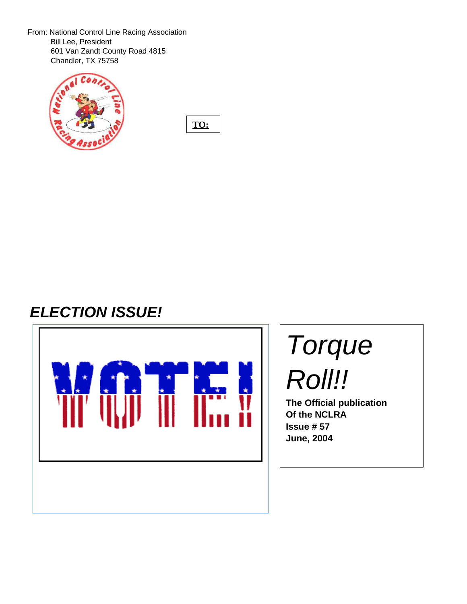From: National Control Line Racing Association Bill Lee, President 601 Van Zandt County Road 4815 Chandler, TX 75758



**TO:**

# **ELECTION ISSUE!**



# Torque Roll!!

**The Official publication Of the NCLRA Issue # 57 June, 2004**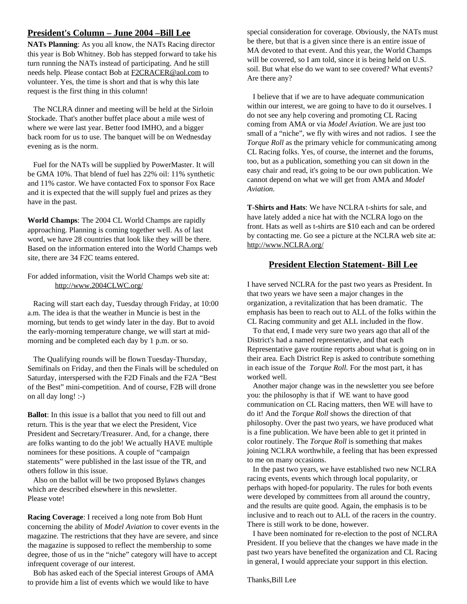# **President's Column – June 2004 –Bill Lee**

**NATs Planning**: As you all know, the NATs Racing director this year is Bob Whitney. Bob has stepped forward to take his turn running the NATs instead of participating. And he still needs help. Please contact Bob at F2CRACER@aol.com to volunteer. Yes, the time is short and that is why this late request is the first thing in this column!

The NCLRA dinner and meeting will be held at the Sirloin Stockade. That's another buffet place about a mile west of where we were last year. Better food IMHO, and a bigger back room for us to use. The banquet will be on Wednesday evening as is the norm.

Fuel for the NATs will be supplied by PowerMaster. It will be GMA 10%. That blend of fuel has 22% oil: 11% synthetic and 11% castor. We have contacted Fox to sponsor Fox Race and it is expected that the will supply fuel and prizes as they have in the past.

**World Champs**: The 2004 CL World Champs are rapidly approaching. Planning is coming together well. As of last word, we have 28 countries that look like they will be there. Based on the information entered into the World Champs web site, there are 34 F2C teams entered.

For added information, visit the World Champs web site at: http://www.2004CLWC.org/

Racing will start each day, Tuesday through Friday, at 10:00 a.m. The idea is that the weather in Muncie is best in the morning, but tends to get windy later in the day. But to avoid the early-morning temperature change, we will start at midmorning and be completed each day by 1 p.m. or so.

The Qualifying rounds will be flown Tuesday-Thursday, Semifinals on Friday, and then the Finals will be scheduled on Saturday, interspersed with the F2D Finals and the F2A "Best of the Best" mini-competition. And of course, F2B will drone on all day long! :-)

**Ballot**: In this issue is a ballot that you need to fill out and return. This is the year that we elect the President, Vice President and Secretary/Treasurer. And, for a change, there are folks wanting to do the job! We actually HAVE multiple nominees for these positions. A couple of "campaign statements" were published in the last issue of the TR, and others follow in this issue.

Also on the ballot will be two proposed Bylaws changes which are described elsewhere in this newsletter. Please vote!

**Racing Coverage**: I received a long note from Bob Hunt concerning the ability of *Model Aviation* to cover events in the magazine. The restrictions that they have are severe, and since the magazine is supposed to reflect the membership to some degree, those of us in the "niche" category will have to accept infrequent coverage of our interest.

Bob has asked each of the Special interest Groups of AMA to provide him a list of events which we would like to have

special consideration for coverage. Obviously, the NATs must be there, but that is a given since there is an entire issue of MA devoted to that event. And this year, the World Champs will be covered, so I am told, since it is being held on U.S. soil. But what else do we want to see covered? What events? Are there any?

I believe that if we are to have adequate communication within our interest, we are going to have to do it ourselves. I do not see any help covering and promoting CL Racing coming from AMA or via *Model Aviation*. We are just too small of a "niche", we fly with wires and not radios. I see the *Torque Roll* as the primary vehicle for communicating among CL Racing folks. Yes, of course, the internet and the forums, too, but as a publication, something you can sit down in the easy chair and read, it's going to be our own publication. We cannot depend on what we will get from AMA and *Model Aviation.*

**T-Shirts and Hats**: We have NCLRA t-shirts for sale, and have lately added a nice hat with the NCLRA logo on the front. Hats as well as t-shirts are \$10 each and can be ordered by contacting me. Go see a picture at the NCLRA web site at: http://www.NCLRA.org/

# **President Election Statement- Bill Lee**

I have served NCLRA for the past two years as President. In that two years we have seen a major changes in the organization, a revitalization that has been dramatic. The emphasis has been to reach out to ALL of the folks within the CL Racing community and get ALL included in the flow.

To that end, I made very sure two years ago that all of the District's had a named representative, and that each Representative gave routine reports about what is going on in their area. Each District Rep is asked to contribute something in each issue of the *Torque Roll.* For the most part, it has worked well.

Another major change was in the newsletter you see before you: the philosophy is that if WE want to have good communication on CL Racing matters, then WE will have to do it! And the *Torque Roll* shows the direction of that philosophy. Over the past two years, we have produced what is a fine publication. We have been able to get it printed in color routinely. The *Torque Roll* is something that makes joining NCLRA worthwhile, a feeling that has been expressed to me on many occasions.

In the past two years, we have established two new NCLRA racing events, events which through local popularity, or perhaps with hoped-for popularity. The rules for both events were developed by committees from all around the country, and the results are quite good. Again, the emphasis is to be inclusive and to reach out to ALL of the racers in the country. There is still work to be done, however.

I have been nominated for re-election to the post of NCLRA President. If you believe that the changes we have made in the past two years have benefited the organization and CL Racing in general, I would appreciate your support in this election.

Thanks,Bill Lee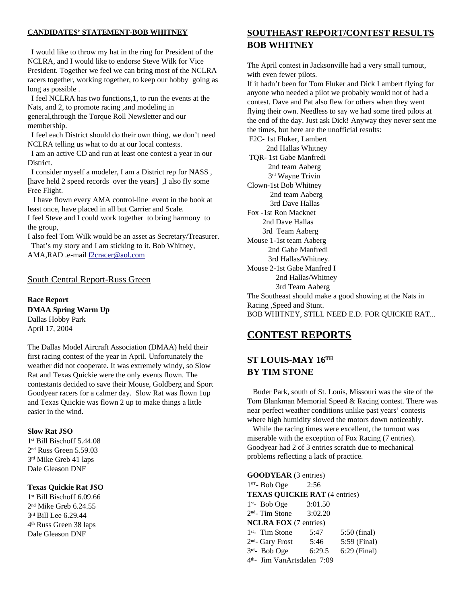#### **CANDIDATES' STATEMENT-BOB WHITNEY**

I would like to throw my hat in the ring for President of the NCLRA, and I would like to endorse Steve Wilk for Vice President. Together we feel we can bring most of the NCLRA racers together, working together, to keep our hobby going as long as possible .

I feel NCLRA has two functions,1, to run the events at the Nats, and 2, to promote racing ,and modeling in general,through the Torque Roll Newsletter and our membership.

I feel each District should do their own thing, we don't need NCLRA telling us what to do at our local contests.

I am an active CD and run at least one contest a year in our District.

I consider myself a modeler, I am a District rep for NASS , [have held 2 speed records over the years] ,I also fly some Free Flight.

I have flown every AMA control-line event in the book at least once, have placed in all but Carrier and Scale.

I feel Steve and I could work together to bring harmony to the group,

I also feel Tom Wilk would be an asset as Secretary/Treasurer. That's my story and I am sticking to it. Bob Whitney,

AMA,RAD .e-mail f2cracer@aol.com

#### South Central Report-Russ Green

**Race Report DMAA Spring Warm Up** Dallas Hobby Park April 17, 2004

The Dallas Model Aircraft Association (DMAA) held their first racing contest of the year in April. Unfortunately the weather did not cooperate. It was extremely windy, so Slow Rat and Texas Quickie were the only events flown. The contestants decided to save their Mouse, Goldberg and Sport Goodyear racers for a calmer day. Slow Rat was flown 1up and Texas Quickie was flown 2 up to make things a little easier in the wind.

#### **Slow Rat JSO**

 st Bill Bischoff 5.44.08 nd Russ Green 5.59.03 rd Mike Greb 41 laps Dale Gleason DNF

#### **Texas Quickie Rat JSO**

 st Bill Bischoff 6.09.66 nd Mike Greb 6.24.55 rd Bill Lee 6.29.44 th Russ Green 38 laps Dale Gleason DNF

# **SOUTHEAST REPORT/CONTEST RESULTS BOB WHITNEY**

The April contest in Jacksonville had a very small turnout, with even fewer pilots.

If it hadn't been for Tom Fluker and Dick Lambert flying for anyone who needed a pilot we probably would not of had a contest. Dave and Pat also flew for others when they went flying their own. Needless to say we had some tired pilots at the end of the day. Just ask Dick! Anyway they never sent me the times, but here are the unofficial results:

F2C- 1st Fluker, Lambert 2nd Hallas Whitney TQR- 1st Gabe Manfredi 2nd team Aaberg 3 rd Wayne Trivin Clown-1st Bob Whitney 2nd team Aaberg 3rd Dave Hallas Fox -1st Ron Macknet 2nd Dave Hallas 3rd Team Aaberg Mouse 1-1st team Aaberg 2nd Gabe Manfredi 3rd Hallas/Whitney. Mouse 2-1st Gabe Manfred I 2nd Hallas/Whitney 3rd Team Aaberg The Southeast should make a good showing at the Nats in Racing ,Speed and Stunt. BOB WHITNEY, STILL NEED E.D. FOR QUICKIE RAT...

# **CONTEST REPORTS**

# **ST LOUIS-MAY 16TH BY TIM STONE**

Buder Park, south of St. Louis, Missouri was the site of the Tom Blankman Memorial Speed & Racing contest. There was near perfect weather conditions unlike past years' contests where high humidity slowed the motors down noticeably.

While the racing times were excellent, the turnout was miserable with the exception of Fox Racing (7 entries). Goodyear had 2 of 3 entries scratch due to mechanical problems reflecting a lack of practice.

**GOODYEAR** (3 entries) ST - Bob Oge 2:56 **TEXAS QUICKIE RAT** (4 entries) st - Bob Oge 3:01.50 nd - Tim Stone 3:02.20 **NCLRA FOX** (7 entries) st - Tim Stone 5:47 5:50 (final) nd - Gary Frost 5:46 5:59 (Final) rd - Bob Oge 6:29.5 6:29 (Final) th - Jim VanArtsdalen 7:09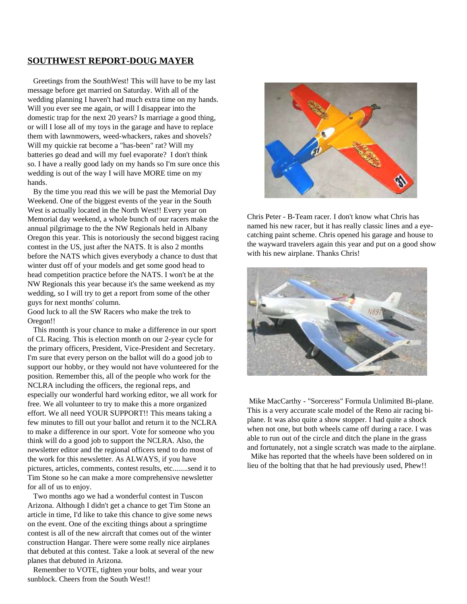# **SOUTHWEST REPORT-DOUG MAYER**

Greetings from the SouthWest! This will have to be my last message before get married on Saturday. With all of the wedding planning I haven't had much extra time on my hands. Will you ever see me again, or will I disappear into the domestic trap for the next 20 years? Is marriage a good thing, or will I lose all of my toys in the garage and have to replace them with lawnmowers, weed-whackers, rakes and shovels? Will my quickie rat become a "has-been" rat? Will my batteries go dead and will my fuel evaporate? I don't think so. I have a really good lady on my hands so I'm sure once this wedding is out of the way I will have MORE time on my hands.

By the time you read this we will be past the Memorial Day Weekend. One of the biggest events of the year in the South West is actually located in the North West!! Every year on Memorial day weekend, a whole bunch of our racers make the annual pilgrimage to the the NW Regionals held in Albany Oregon this year. This is notoriously the second biggest racing contest in the US, just after the NATS. It is also 2 months before the NATS which gives everybody a chance to dust that winter dust off of your models and get some good head to head competition practice before the NATS. I won't be at the NW Regionals this year because it's the same weekend as my wedding, so I will try to get a report from some of the other guys for next months' column.

Good luck to all the SW Racers who make the trek to Oregon!!

This month is your chance to make a difference in our sport of CL Racing. This is election month on our 2-year cycle for the primary officers, President, Vice-President and Secretary. I'm sure that every person on the ballot will do a good job to support our hobby, or they would not have volunteered for the position. Remember this, all of the people who work for the NCLRA including the officers, the regional reps, and especially our wonderful hard working editor, we all work for free. We all volunteer to try to make this a more organized effort. We all need YOUR SUPPORT!! This means taking a few minutes to fill out your ballot and return it to the NCLRA to make a difference in our sport. Vote for someone who you think will do a good job to support the NCLRA. Also, the newsletter editor and the regional officers tend to do most of the work for this newsletter. As ALWAYS, if you have pictures, articles, comments, contest results, etc........send it to Tim Stone so he can make a more comprehensive newsletter for all of us to enjoy.

Two months ago we had a wonderful contest in Tuscon Arizona. Although I didn't get a chance to get Tim Stone an article in time, I'd like to take this chance to give some news on the event. One of the exciting things about a springtime contest is all of the new aircraft that comes out of the winter construction Hangar. There were some really nice airplanes that debuted at this contest. Take a look at several of the new planes that debuted in Arizona.

Remember to VOTE, tighten your bolts, and wear your sunblock. Cheers from the South West!!



Chris Peter - B-Team racer. I don't know what Chris has named his new racer, but it has really classic lines and a eyecatching paint scheme. Chris opened his garage and house to the wayward travelers again this year and put on a good show with his new airplane. Thanks Chris!



Mike MacCarthy - "Sorceress" Formula Unlimited Bi-plane. This is a very accurate scale model of the Reno air racing biplane. It was also quite a show stopper. I had quite a shock when not one, but both wheels came off during a race. I was able to run out of the circle and ditch the plane in the grass and fortunately, not a single scratch was made to the airplane. Mike has reported that the wheels have been soldered on in

lieu of the bolting that that he had previously used, Phew!!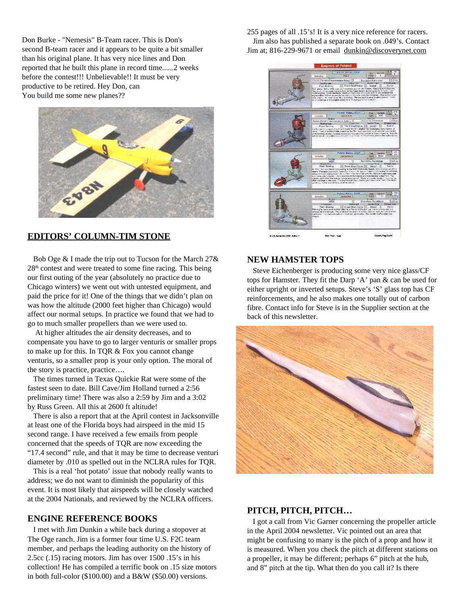Don Burke - "Nemesis" B-Team racer. This is Don's second B-team racer and it appears to be quite a bit smaller than his original plane. It has very nice lines and Don reported that he built this plane in record time......2 weeks before the contest!!! Unbelievable!! It must be very productive to be retired. Hey Don, can You build me some new planes??



#### **EDITORS' COLUMN-TIM STONE**

Bob Oge & I made the trip out to Tucson for the March 27& 28<sup>th</sup> contest and were treated to some fine racing. This being our first outing of the year (absolutely no practice due to Chicago winters) we went out with untested equipment, and paid the price for it! One of the things that we didn't plan on was how the altitude (2000 feet higher than Chicago) would affect our normal setups. In practice we found that we had to go to much smaller propellers than we were used to.

At higher altitudes the air density decreases, and to compensate you have to go to larger venturis or smaller props to make up for this. In TQR & Fox you cannot change venturis, so a smaller prop is your only option. The moral of the story is practice, practice….

The times turned in Texas Quickie Rat were some of the fastest seen to date. Bill Cave/Jim Holland turned a 2:56 preliminary time! There was also a 2:59 by Jim and a 3:02 by Russ Green. All this at 2600 ft altitude!

There is also a report that at the April contest in Jacksonville at least one of the Florida boys had airspeed in the mid 15 second range. I have received a few emails from people concerned that the speeds of TQR are now exceeding the "17.4 second" rule, and that it may be time to decrease venturi diameter by .010 as spelled out in the NCLRA rules for TQR.

This is a real 'hot potato' issue that nobody really wants to address; we do not want to diminish the popularity of this event. It is most likely that airspeeds will be closely watched at the 2004 Nationals, and reviewed by the NCLRA officers.

#### **ENGINE REFERENCE BOOKS**

I met with Jim Dunkin a while back during a stopover at The Oge ranch. Jim is a former four time U.S. F2C team member, and perhaps the leading authority on the history of 2.5cc (.15) racing motors. Jim has over 1500 .15's in his collection! He has compiled a terrific book on .15 size motors in both full-color (\$100.00) and a B&W (\$50.00) versions.

255 pages of all .15's! It is a very nice reference for racers. Jim also has published a separate book on .049's. Contact Jim at; 816-229-9671 or email dunkin@discoverynet.com



#### **NEW HAMSTER TOPS**

Steve Eichenberger is producing some very nice glass/CF tops for Hamster. They fit the Darp 'A' pan & can be used for either upright or inverted setups. Steve's 'S' glass top has CF reinforcements, and he also makes one totally out of carbon fibre. Contact info for Steve is in the Supplier section at the back of this newsletter.



#### **PITCH, PITCH, PITCH…**

I got a call from Vic Garner concerning the propeller article in the April 2004 newsletter. Vic pointed out an area that might be confusing to many is the pitch of a prop and how it is measured. When you check the pitch at different stations on a propeller, it may be different; perhaps 6" pitch at the hub, and 8" pitch at the tip. What then do you call it? Is there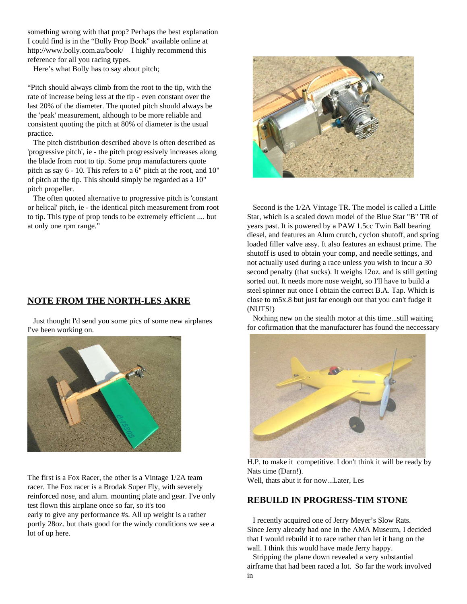something wrong with that prop? Perhaps the best explanation I could find is in the "Bolly Prop Book" available online at http://www.bolly.com.au/book/ I highly recommend this reference for all you racing types.

Here's what Bolly has to say about pitch;

"Pitch should always climb from the root to the tip, with the rate of increase being less at the tip - even constant over the last 20% of the diameter. The quoted pitch should always be the 'peak' measurement, although to be more reliable and consistent quoting the pitch at 80% of diameter is the usual practice.

The pitch distribution described above is often described as 'progressive pitch', ie - the pitch progressively increases along the blade from root to tip. Some prop manufacturers quote pitch as say 6 - 10. This refers to a 6" pitch at the root, and 10" of pitch at the tip. This should simply be regarded as a 10" pitch propeller.

The often quoted alternative to progressive pitch is 'constant or helical' pitch, ie - the identical pitch measurement from root to tip. This type of prop tends to be extremely efficient .... but at only one rpm range."

# **NOTE FROM THE NORTH-LES AKRE**

Just thought I'd send you some pics of some new airplanes I've been working on.



The first is a Fox Racer, the other is a Vintage 1/2A team racer. The Fox racer is a Brodak Super Fly, with severely reinforced nose, and alum. mounting plate and gear. I've only test flown this airplane once so far, so it's too early to give any performance #s. All up weight is a rather portly 28oz. but thats good for the windy conditions we see a lot of up here.



Second is the 1/2A Vintage TR. The model is called a Little Star, which is a scaled down model of the Blue Star "B" TR of years past. It is powered by a PAW 1.5cc Twin Ball bearing diesel, and features an Alum crutch, cyclon shutoff, and spring loaded filler valve assy. It also features an exhaust prime. The shutoff is used to obtain your comp, and needle settings, and not actually used during a race unless you wish to incur a 30 second penalty (that sucks). It weighs 12oz. and is still getting sorted out. It needs more nose weight, so I'll have to build a steel spinner nut once I obtain the correct B.A. Tap. Which is close to m5x.8 but just far enough out that you can't fudge it (NUTS!)

Nothing new on the stealth motor at this time...still waiting for cofirmation that the manufacturer has found the neccessary



H.P. to make it competitive. I don't think it will be ready by Nats time (Darn!).

Well, thats abut it for now...Later, Les

#### **REBUILD IN PROGRESS-TIM STONE**

I recently acquired one of Jerry Meyer's Slow Rats. Since Jerry already had one in the AMA Museum, I decided that I would rebuild it to race rather than let it hang on the wall. I think this would have made Jerry happy.

Stripping the plane down revealed a very substantial airframe that had been raced a lot. So far the work involved in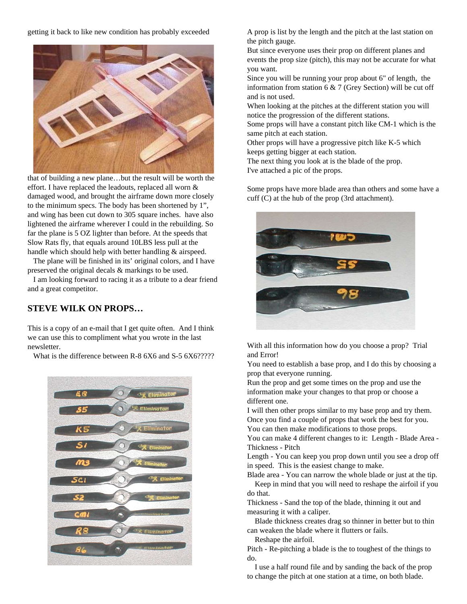getting it back to like new condition has probably exceeded



that of building a new plane…but the result will be worth the effort. I have replaced the leadouts, replaced all worn & damaged wood, and brought the airframe down more closely to the minimum specs. The body has been shortened by 1", and wing has been cut down to 305 square inches. have also lightened the airframe wherever I could in the rebuilding. So far the plane is 5 OZ lighter than before. At the speeds that Slow Rats fly, that equals around 10LBS less pull at the handle which should help with better handling & airspeed.

The plane will be finished in its' original colors, and I have preserved the original decals & markings to be used.

I am looking forward to racing it as a tribute to a dear friend and a great competitor.

# **STEVE WILK ON PROPS…**

This is a copy of an e-mail that I get quite often. And I think we can use this to compliment what you wrote in the last newsletter.

What is the difference between R-8 6X6 and S-5 6X6?????



A prop is list by the length and the pitch at the last station on the pitch gauge.

But since everyone uses their prop on different planes and events the prop size (pitch), this may not be accurate for what you want.

Since you will be running your prop about 6" of length, the information from station 6 & 7 (Grey Section) will be cut off and is not used.

When looking at the pitches at the different station you will notice the progression of the different stations.

Some props will have a constant pitch like CM-1 which is the same pitch at each station.

Other props will have a progressive pitch like K-5 which keeps getting bigger at each station.

The next thing you look at is the blade of the prop.

I've attached a pic of the props.

Some props have more blade area than others and some have a cuff (C) at the hub of the prop (3rd attachment).



With all this information how do you choose a prop? Trial and Error!

You need to establish a base prop, and I do this by choosing a prop that everyone running.

Run the prop and get some times on the prop and use the information make your changes to that prop or choose a different one.

I will then other props similar to my base prop and try them. Once you find a couple of props that work the best for you. You can then make modifications to those props.

You can make 4 different changes to it: Length - Blade Area - Thickness - Pitch

Length - You can keep you prop down until you see a drop off in speed. This is the easiest change to make.

Blade area - You can narrow the whole blade or just at the tip. Keep in mind that you will need to reshape the airfoil if you

do that.

Thickness - Sand the top of the blade, thinning it out and measuring it with a caliper.

Blade thickness creates drag so thinner in better but to thin can weaken the blade where it flutters or fails.

Reshape the airfoil.

Pitch - Re-pitching a blade is the to toughest of the things to do.

I use a half round file and by sanding the back of the prop to change the pitch at one station at a time, on both blade.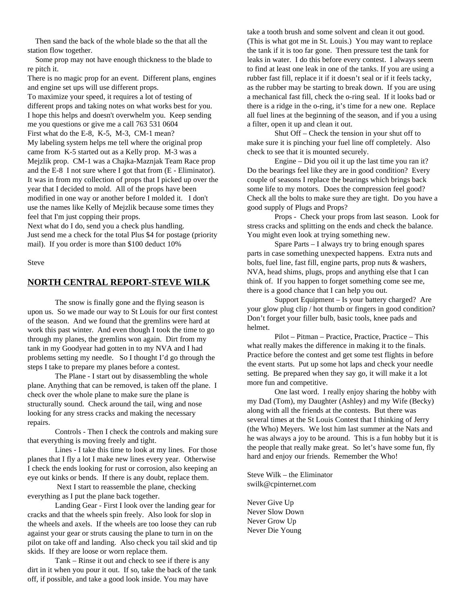Then sand the back of the whole blade so the that all the station flow together.

Some prop may not have enough thickness to the blade to re pitch it.

There is no magic prop for an event. Different plans, engines and engine set ups will use different props.

To maximize your speed, it requires a lot of testing of different props and taking notes on what works best for you. I hope this helps and doesn't overwhelm you. Keep sending me you questions or give me a call 763 531 0604 First what do the E-8, K-5, M-3, CM-1 mean? My labeling system helps me tell where the original prop came from K-5 started out as a Kelly prop. M-3 was a Mejzlik prop. CM-1 was a Chajka-Maznjak Team Race prop and the E-8 I not sure where I got that from (E - Eliminator). It was in from my collection of props that I picked up over the year that I decided to mold. All of the props have been modified in one way or another before I molded it. I don't use the names like Kelly of Mejzlik because some times they feel that I'm just copping their props.

Next what do I do, send you a check plus handling. Just send me a check for the total Plus \$4 for postage (priority mail). If you order is more than \$100 deduct 10%

Steve

#### **NORTH CENTRAL REPORT-STEVE WILK**

The snow is finally gone and the flying season is upon us. So we made our way to St Louis for our first contest of the season. And we found that the gremlins were hard at work this past winter. And even though I took the time to go through my planes, the gremlins won again. Dirt from my tank in my Goodyear had gotten in to my NVA and I had problems setting my needle. So I thought I'd go through the steps I take to prepare my planes before a contest.

The Plane - I start out by disassembling the whole plane. Anything that can be removed, is taken off the plane. I check over the whole plane to make sure the plane is structurally sound. Check around the tail, wing and nose looking for any stress cracks and making the necessary repairs.

Controls - Then I check the controls and making sure that everything is moving freely and tight.

Lines - I take this time to look at my lines. For those planes that I fly a lot I make new lines every year. Otherwise I check the ends looking for rust or corrosion, also keeping an eye out kinks or bends. If there is any doubt, replace them.

Next I start to reassemble the plane, checking everything as I put the plane back together.

Landing Gear - First I look over the landing gear for cracks and that the wheels spin freely. Also look for slop in the wheels and axels. If the wheels are too loose they can rub against your gear or struts causing the plane to turn in on the pilot on take off and landing. Also check you tail skid and tip skids. If they are loose or worn replace them.

Tank – Rinse it out and check to see if there is any dirt in it when you pour it out. If so, take the back of the tank off, if possible, and take a good look inside. You may have

take a tooth brush and some solvent and clean it out good. (This is what got me in St. Louis.) You may want to replace the tank if it is too far gone. Then pressure test the tank for leaks in water. I do this before every contest. I always seem to find at least one leak in one of the tanks. If you are using a rubber fast fill, replace it if it doesn't seal or if it feels tacky, as the rubber may be starting to break down. If you are using a mechanical fast fill, check the o-ring seal. If it looks bad or there is a ridge in the o-ring, it's time for a new one. Replace all fuel lines at the beginning of the season, and if you a using a filter, open it up and clean it out.

Shut Off – Check the tension in your shut off to make sure it is pinching your fuel line off completely. Also check to see that it is mounted securely.

Engine – Did you oil it up the last time you ran it? Do the bearings feel like they are in good condition? Every couple of seasons I replace the bearings which brings back some life to my motors. Does the compression feel good? Check all the bolts to make sure they are tight. Do you have a good supply of Plugs and Props?

Props - Check your props from last season. Look for stress cracks and splitting on the ends and check the balance. You might even look at trying something new.

Spare Parts – I always try to bring enough spares parts in case something unexpected happens. Extra nuts and bolts, fuel line, fast fill, engine parts, prop nuts & washers, NVA, head shims, plugs, props and anything else that I can think of. If you happen to forget something come see me, there is a good chance that I can help you out.

Support Equipment – Is your battery charged? Are your glow plug clip / hot thumb or fingers in good condition? Don't forget your filler bulb, basic tools, knee pads and helmet.

Pilot – Pitman – Practice, Practice, Practice – This what really makes the difference in making it to the finals. Practice before the contest and get some test flights in before the event starts. Put up some hot laps and check your needle setting. Be prepared when they say go, it will make it a lot more fun and competitive.

One last word. I really enjoy sharing the hobby with my Dad (Tom), my Daughter (Ashley) and my Wife (Becky) along with all the friends at the contests. But there was several times at the St Louis Contest that I thinking of Jerry (the Who) Meyers. We lost him last summer at the Nats and he was always a joy to be around. This is a fun hobby but it is the people that really make great. So let's have some fun, fly hard and enjoy our friends. Remember the Who!

Steve Wilk – the Eliminator swilk@cpinternet.com

Never Give Up Never Slow Down Never Grow Up Never Die Young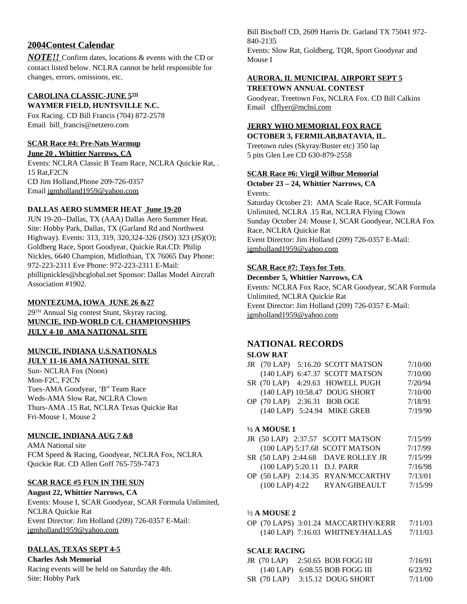# **2004Contest Calendar**

*NOTE!!* Confirm dates, locations & events with the CD or contact listed below. NCLRA cannot be held responsible for changes, errors, omissions, etc.

#### **CAROLINA CLASSIC-JUNE 5 TH WAYMER FIELD, HUNTSVILLE N.C.**

Fox Racing. CD Bill Francis (704) 872-2578 Email bill\_francis@netzero.com

#### **SCAR Race #4: Pre-Nats Warmup**

**June 20 , Whittier Narrows, CA**

Events: NCLRA Classic B Team Race, NCLRA Quickie Rat, . 15 Rat,F2CN CD Jim Holland,Phone 209-726-0357 Email jgmholland1959@yahoo.com

#### **DALLAS AERO SUMMER HEAT June 19-20**

JUN 19-20--Dallas, TX (AAA) Dallas Aero Summer Heat. Site: Hobby Park, Dallas, TX (Garland Rd and Northwest Highway). Events: 313, 319, 320,324-326 (JSO) 323 (JS)(O); Goldberg Race, Sport Goodyear, Quickie Rat.CD: Philip Nickles, 6640 Champion, Midlothian, TX 76065 Day Phone: 972-223-2311 Eve Phone: 972-223-2311 E-Mail: phillipnickles@sbcglobal.net Sponsor: Dallas Model Aircraft Association #1902.

#### **MONTEZUMA, IOWA JUNE 26 &27**

29 TH Annual Sig contest Stunt, Skyray racing. **MUNCIE, IND-WORLD C/L CHAMPIONSHIPS JULY 4-10 AMA NATIONAL SITE**

#### **MUNCIE, INDIANA U.S.NATIONALS JULY 11-16 AMA NATIONAL SITE**

Sun- NCLRA Fox (Noon) Mon-F2C, F2CN Tues-AMA Goodyear, 'B" Team Race Weds-AMA Slow Rat, NCLRA Clown Thurs-AMA .15 Rat, NCLRA Texas Quickie Rat Fri-Mouse 1, Mouse 2

#### **MUNCIE, INDIANA AUG 7 &8**

AMA National site FCM Speed & Racing, Goodyear, NCLRA Fox, NCLRA Quickie Rat. CD Allen Goff 765-759-7473

#### **SCAR RACE #5 FUN IN THE SUN**

#### **August 22, Whittier Narrows, CA**

Events: Mouse I, SCAR Goodyear, SCAR Formula Unlimited, NCLRA Quickie Rat Event Director: Jim Holland (209) 726-0357 E-Mail: jgmholland1959@yahoo.com

#### **DALLAS, TEXAS SEPT 4-5**

#### **Charles Ash Memorial**

Racing events will be held on Saturday the 4th. Site: Hobby Park

Bill Bischoff CD, 2609 Harris Dr. Garland TX 75041 972- 840-2135

Events: Slow Rat, Goldberg, TQR, Sport Goodyear and Mouse I

#### **AURORA, IL MUNICIPAL AIRPORT SEPT 5 TREETOWN ANNUAL CONTEST**

Goodyear, Treetown Fox, NCLRA Fox. CD Bill Calkins Email clflyer@mchsi.com

# **JERRY WHO MEMORIAL FOX RACE**

**OCTOBER 3, FERMILAB,BATAVIA, IL.** Treetown rules (Skyray/Buster etc) 350 lap 5 pits Glen Lee CD 630-879-2558

#### **SCAR Race #6: Virgil Wilbur Memorial**

#### **October 23 – 24, Whittier Narrows, CA** Events:

Saturday October 23: AMA Scale Race, SCAR Formula Unlimited, NCLRA .15 Rat, NCLRA Flying Clown Sunday October 24: Mouse I, SCAR Goodyear, NCLRA Fox Race, NCLRA Quickie Rat Event Director: Jim Holland (209) 726-0357 E-Mail: jgmholland1959@yahoo.com

#### **SCAR Race #7: Toys for Tots**

**December 5, Whittier Narrows, CA** Events: NCLRA Fox Race, SCAR Goodyear, SCAR Formula Unlimited, NCLRA Quickie Rat Event Director: Jim Holland (209) 726-0357 E-Mail: jgmholland1959@yahoo.com

#### **NATIONAL RECORDS**

#### **SLOW RAT**

|  | JR (70 LAP) 5:16.20 SCOTT MATSON | 7/10/00 |
|--|----------------------------------|---------|
|  | (140 LAP) 6:47.37 SCOTT MATSON   | 7/10/00 |
|  | SR (70 LAP) 4:29.63 HOWELL PUGH  | 7/20/94 |
|  | (140 LAP) 10:58.47 DOUG SHORT    | 7/10/00 |
|  | OP (70 LAP) 2:36.31 BOB OGE      | 7/18/91 |
|  | (140 LAP) 5:24.94 MIKE GREB      | 7/19/90 |
|  |                                  |         |

#### **½ A MOUSE 1**

|  | JR (50 LAP) 2:37.57 SCOTT MATSON   | 7/15/99 |
|--|------------------------------------|---------|
|  | (100 LAP) 5:17.68 SCOTT MATSON     | 7/17/99 |
|  | SR (50 LAP) 2:44.68 DAVE ROLLEY JR | 7/15/99 |
|  | (100 LAP) 5:20.11 D.J. PARR        | 7/16/98 |
|  | $\Omega$                           | 711010  |

OP (50 LAP) 2:14.35 RYAN/MCCARTHY 7/13/01 (100 LAP) 4:22 RYAN/GIBEAULT 7/15/99

#### ½ **A MOUSE 2**

OP (70 LAPS) 3:01.24 MACCARTHY/KERR 7/11/03 (140 LAP) 7:16.03 WHITNEY/HALLAS 7/11/03

#### **SCALE RACING**

|  | JR $(70$ LAP $)$ 2:50.65 BOB FOGG III | 7/16/91 |
|--|---------------------------------------|---------|
|  | $(140$ LAP $)$ 6:08.55 BOB FOGG III   | 6/23/92 |
|  | $SR(70 LAP)$ 3:15.12 DOUG SHORT       | 7/11/00 |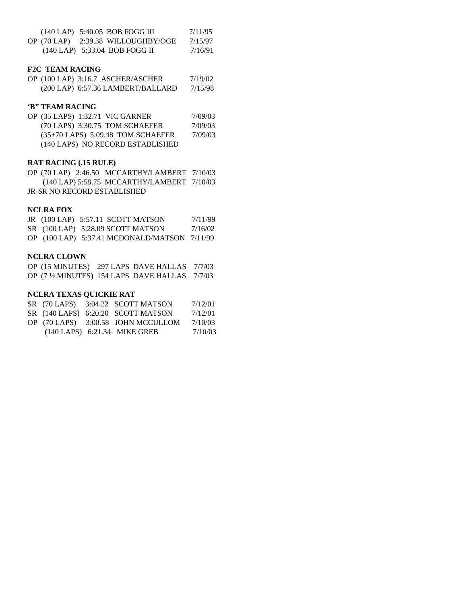|  | $(140$ LAP $)$ 5:40.05 BOB FOGG III | 7/11/95 |
|--|-------------------------------------|---------|
|  | OP (70 LAP) 2:39.38 WILLOUGHBY/OGE  | 7/15/97 |
|  | $(140$ LAP $)$ 5:33.04 BOB FOGG II  | 7/16/91 |

#### **F2C TEAM RACING**

OP (100 LAP) 3:16.7 ASCHER/ASCHER 7/19/02 (200 LAP) 6:57.36 LAMBERT/BALLARD 7/15/98

#### **'B" TEAM RACING**

| OP (35 LAPS) 1:32.71 VIC GARNER     | 7/09/03 |
|-------------------------------------|---------|
| (70 LAPS) 3:30.75 TOM SCHAEFER      | 7/09/03 |
| $(35+70$ LAPS) 5:09.48 TOM SCHAEFER | 7/09/03 |
| (140 LAPS) NO RECORD ESTABLISHED    |         |

#### **RAT RACING (.15 RULE)**

OP (70 LAP) 2:46.50 MCCARTHY/LAMBERT 7/10/03 (140 LAP) 5:58.75 MCCARTHY/LAMBERT 7/10/03 JR-SR NO RECORD ESTABLISHED

#### **NCLRA FOX**

|  | JR (100 LAP) 5:57.11 SCOTT MATSON              | 7/11/99 |
|--|------------------------------------------------|---------|
|  | $SR(100$ LAP $)$ 5:28.09 SCOTT MATSON          | 7/16/02 |
|  | OP $(100$ LAP) 5:37.41 MCDONALD/MATSON 7/11/99 |         |

#### **NCLRA CLOWN**

|  | OP (15 MINUTES) 297 LAPS DAVE HALLAS 7/7/03  |  |
|--|----------------------------------------------|--|
|  | OP (7 ½ MINUTES) 154 LAPS DAVE HALLAS 7/7/03 |  |

#### **NCLRA TEXAS QUICKIE RAT**

|  | SR (70 LAPS) 3:04.22 SCOTT MATSON  | 7/12/01 |
|--|------------------------------------|---------|
|  | SR (140 LAPS) 6:20.20 SCOTT MATSON | 7/12/01 |
|  | OP (70 LAPS) 3:00.58 JOHN MCCULLOM | 7/10/03 |
|  | (140 LAPS) 6:21.34 MIKE GREB       | 7/10/03 |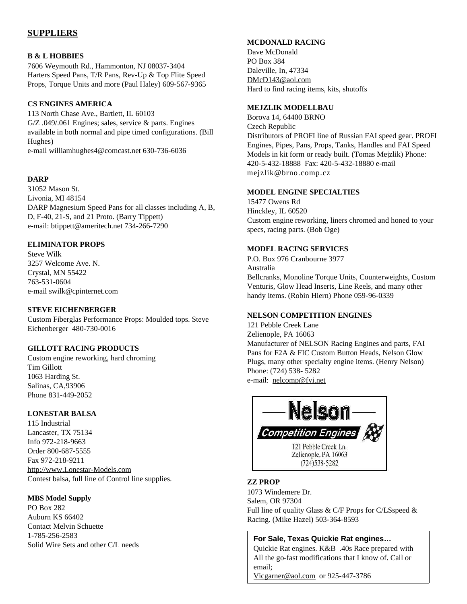# **SUPPLIERS**

#### **B & L HOBBIES**

7606 Weymouth Rd., Hammonton, NJ 08037-3404 Harters Speed Pans, T/R Pans, Rev-Up & Top Flite Speed Props, Torque Units and more (Paul Haley) 609-567-9365

#### **CS ENGINES AMERICA**

113 North Chase Ave., Bartlett, IL 60103 G/Z .049/.061 Engines; sales, service & parts. Engines available in both normal and pipe timed configurations. (Bill Hughes)

e-mail williamhughes4@comcast.net 630-736-6036

#### **DARP**

31052 Mason St. Livonia, MI 48154 DARP Magnesium Speed Pans for all classes including A, B, D, F-40, 21-S, and 21 Proto. (Barry Tippett) e-mail: btippett@ameritech.net 734-266-7290

#### **ELIMINATOR PROPS**

Steve Wilk 3257 Welcome Ave. N. Crystal, MN 55422 763-531-0604 e-mail swilk@cpinternet.com

#### **STEVE EICHENBERGER**

Custom Fiberglas Performance Props: Moulded tops. Steve Eichenberger 480-730-0016

#### **GILLOTT RACING PRODUCTS**

Custom engine reworking, hard chroming Tim Gillott 1063 Harding St. Salinas, CA,93906 Phone 831-449-2052

#### **LONESTAR BALSA**

115 Industrial Lancaster, TX 75134 Info 972-218-9663 Order 800-687-5555 Fax 972-218-9211 http://www.Lonestar-Models.com Contest balsa, full line of Control line supplies.

#### **MBS Model Supply**

PO Box 282 Auburn KS 66402 Contact Melvin Schuette 1-785-256-2583 Solid Wire Sets and other C/L needs

#### **MCDONALD RACING**

Dave McDonald PO Box 384 Daleville, In, 47334 DMcD143@aol.com Hard to find racing items, kits, shutoffs

#### **MEJZLIK MODELLBAU**

Borova 14, 64400 BRNO Czech Republic Distributors of PROFI line of Russian FAI speed gear. PROFI Engines, Pipes, Pans, Props, Tanks, Handles and FAI Speed Models in kit form or ready built. (Tomas Mejzlik) Phone: 420-5-432-18888 Fax: 420-5-432-18880 e-mail mejzlik@brno.comp.cz

#### **MODEL ENGINE SPECIALTIES**

15477 Owens Rd Hinckley, IL 60520 Custom engine reworking, liners chromed and honed to your specs, racing parts. (Bob Oge)

#### **MODEL RACING SERVICES**

P.O. Box 976 Cranbourne 3977 Australia Bellcranks, Monoline Torque Units, Counterweights, Custom Venturis, Glow Head Inserts, Line Reels, and many other handy items. (Robin Hiern) Phone 059-96-0339

#### **NELSON COMPETITION ENGINES**

121 Pebble Creek Lane Zelienople, PA 16063 Manufacturer of NELSON Racing Engines and parts, FAI Pans for F2A & FIC Custom Button Heads, Nelson Glow Plugs, many other specialty engine items. (Henry Nelson) Phone: (724) 538- 5282 e-mail: nelcomp@fyi.net



# **ZZ PROP**

1073 Windemere Dr. Salem, OR 97304 Full line of quality Glass & C/F Props for C/LSspeed & Racing. (Mike Hazel) 503-364-8593

#### **For Sale, Texas Quickie Rat engines…**

Quickie Rat engines. K&B .40s Race prepared with All the go-fast modifications that I know of. Call or email;

Vicgarner@aol.com or 925-447-3786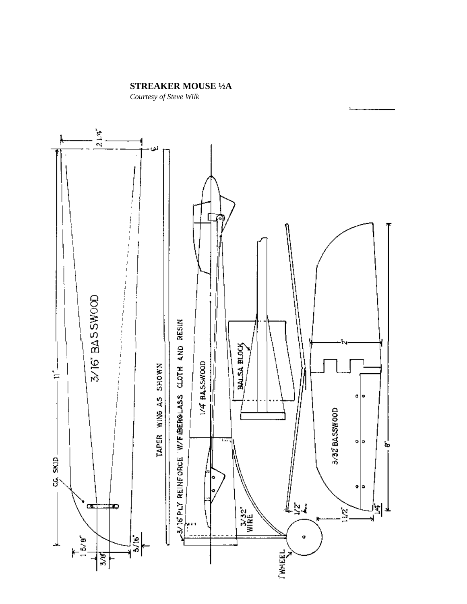# **STREAKER MOUSE ½A**

*Courtesy of Steve Wilk*